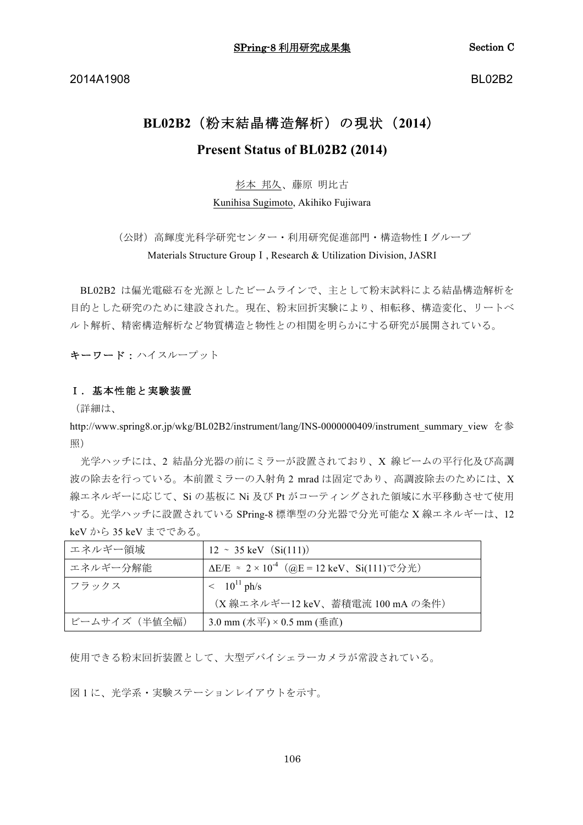2014A1908

**BL02B2** 

# BL02B2 (粉末結晶構造解析) の現状 (2014) Present Status of BL02B2 (2014)

## 杉本 邦久、藤原 明比古

Kunihisa Sugimoto, Akihiko Fujiwara

(公財) 高輝度光科学研究センター·利用研究促進部門·構造物性 I グループ Materials Structure Group I. Research & Utilization Division, JASRI

BL02B2 は偏光電磁石を光源としたビームラインで、主として粉末試料による結晶構造解析を 目的とした研究のために建設された。現在、粉末回折実験により、相転移、構造変化、リートベ ルト解析、精密構造解析など物質構造と物性との相関を明らかにする研究が展開されている。

キーワード:ハイスループット

#### Ⅰ. 基本性能と実験装置

(詳細は、

http://www.spring8.or.jp/wkg/BL02B2/instrument/lang/INS-0000000409/instrument summary view を参 照)

光学ハッチには、2 結晶分光器の前にミラーが設置されており、X 線ビームの平行化及び高調 波の除去を行っている。本前置ミラーの入射角2 mrad は固定であり、高調波除去のためには、X 線エネルギーに応じて、Siの基板に Ni 及び Pt がコーティングされた領域に水平移動させて使用 する。光学ハッチに設置されている SPring-8 標準型の分光器で分光可能な X線エネルギーは、12 keV から35 keV までである。

| エネルギー領域      | $12 \sim 35 \text{ keV}$ (Si(111))                                                                   |
|--------------|------------------------------------------------------------------------------------------------------|
| エネルギー分解能     | ΔE/E ≈ 2 × 10 <sup>-4</sup> (@E = 12 keV、Si(111)で分光)                                                 |
| フラックス        | $\rm < 10^{11} \, ph/s$                                                                              |
|              | (X線エネルギー12 keV、蓄積電流 100 mA の条件)                                                                      |
| ビームサイズ(半値全幅) | 3.0 mm $(\cancel{\pi}\sqrt{\mp}) \times 0.5$ mm $(\underline{\text{\texttt{#}}\ \text{\texttt{d}}})$ |

使用できる粉末回折装置として、大型デバイシェラーカメラが常設されている。

図1に、光学系・実験ステーションレイアウトを示す。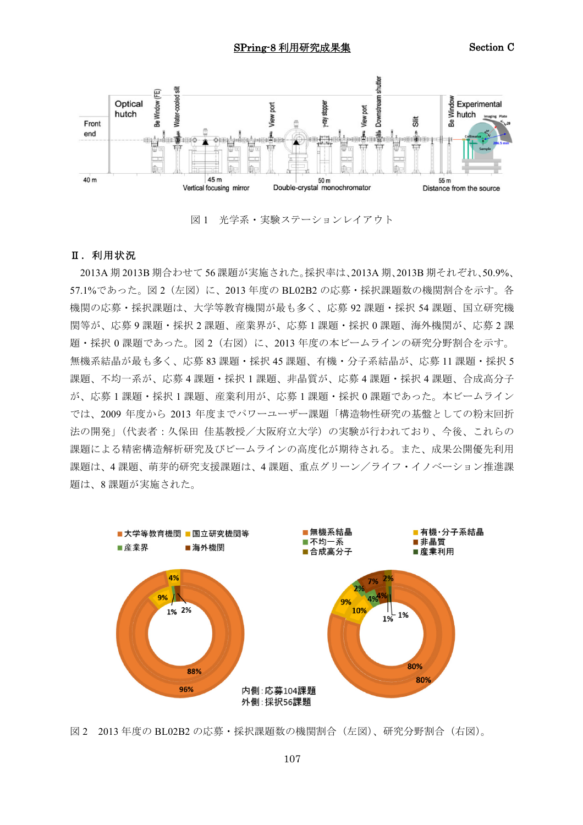

図1 光学系・実験ステーションレイアウト

### Ⅱ. 利用状況

2013A 期 2013B 期合わせて 56 課題が実施された。採択率は、2013A 期、2013B 期それぞれ、50.9%、 57.1%であった。図2 (左図)に、2013年度の BL02B2 の応募・採択課題数の機関割合を示す。各 機関の応募・採択課題は、大学等教育機関が最も多く、応募 92 課題・採択 54 課題、国立研究機 関等が、応募9課題・採択2課題、産業界が、応募1課題・採択0課題、海外機関が、応募2課 題・採択0課題であった。図2 (右図)に、2013年度の本ビームラインの研究分野割合を示す。 無機系結晶が最も多く、応募83課題・採択45課題、有機・分子系結晶が、応募11課題・採択5 課題、不均一系が、応募4課題・採択1課題、非晶質が、応募4課題・採択4課題、合成高分子 が、応募1課題・採択1課題、産業利用が、応募1課題・採択0課題であった。本ビームライン では、2009年度から 2013年度までパワーユーザー課題「構造物性研究の基盤としての粉末回折 法の開発」(代表者:久保田 佳基教授/大阪府立大学)の実験が行われており、今後、これらの 課題による精密構造解析研究及びビームラインの高度化が期待される。また、成果公開優先利用 課題は、4課題、萌芽的研究支援課題は、4課題、重点グリーン/ライフ・イノベーション推進課 題は、8課題が実施された。



図2 2013年度の BL02B2 の応募・採択課題数の機関割合(左図)、研究分野割合(右図)。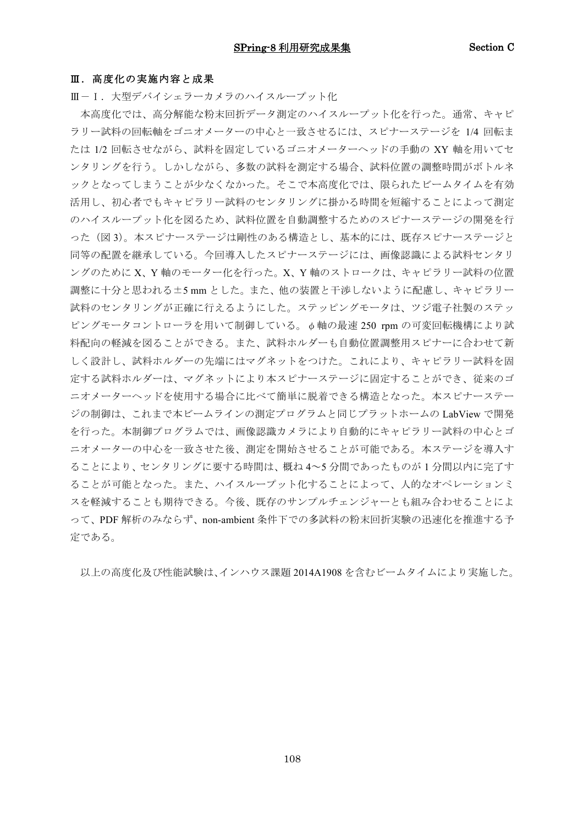#### Ⅲ. 高度化の実施内容と成果

Ⅲ-Ⅰ. 大型デバイシェラーカメラのハイスループット化

本高度化では、高分解能な粉末回折データ測定のハイスループット化を行った。通常、キャピ ラリー試料の回転軸をゴニオメーターの中心と一致させるには、スピナーステージを 1/4 回転ま たは 1/2 回転させながら、試料を固定しているゴニオメーターヘッドの手動の XY 軸を用いてセ ンタリングを行う。しかしながら、多数の試料を測定する場合、試料位置の調整時間がボトルネ ックとなってしまうことが少なくなかった。そこで本高度化では、限られたビームタイムを有効 活用し、初心者でもキャピラリー試料のセンタリングに掛かる時間を短縮することによって測定 のハイスループット化を図るため、試料位置を自動調整するためのスピナーステージの開発を行 った(図3)。本スピナーステージは剛性のある構造とし、基本的には、既存スピナーステージと 同等の配置を継承している。今回導入したスピナーステージには、画像認識による試料センタリ ングのために X、Y軸のモーター化を行った。X、Y軸のストロークは、キャピラリー試料の位置 調整に十分と思われる±5mmとした。また、他の装置と干渉しないように配慮し、キャピラリー 試料のセンタリングが正確に行えるようにした。ステッピングモータは、ツジ雷子社製のステッ ピングモータコントローラを用いて制御している。 Φ軸の最速 250 rpm の可変回転機構により試 料配向の軽減を図ることができる。また、試料ホルダーも自動位置調整用スピナーに合わせて新 しく設計し、試料ホルダーの先端にはマグネットをつけた。これにより、キャピラリー試料を固 定する試料ホルダーは、マグネットにより本スピナーステージに固定することができ、従来のゴ ニオメーターヘッドを使用する場合に比べて簡単に脱着できる構造となった。本スピナーステー ジの制御は、これまで本ビームラインの測定プログラムと同じプラットホームの LabView で開発 を行った。本制御プログラムでは、画像認識カメラにより自動的にキャピラリー試料の中心とゴ ニオメーターの中心を一致させた後、測定を開始させることが可能である。本ステージを導入す ることにより、センタリングに要する時間は、概ね4~5分間であったものが1分間以内に完了す ることが可能となった。また、ハイスループット化することによって、人的なオペレーションミ スを軽減することも期待できる。今後、既存のサンプルチェンジャーとも組み合わせることによ って、PDF 解析のみならず、non-ambient 条件下での多試料の粉末回折実験の迅速化を推進する予 定である。

以上の高度化及び性能試験は、インハウス課題 2014A1908 を含むビームタイムにより実施した。